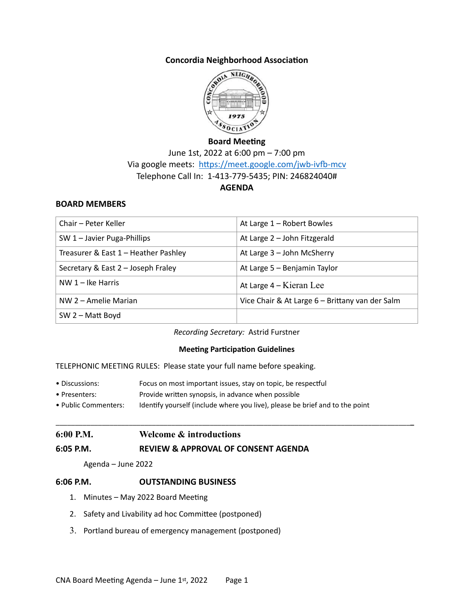### **Concordia Neighborhood Association**



### **Board Meeting**

June 1st, 2022 at 6:00 pm – 7:00 pm Via google meets: <https://meet.google.com/jwb-ivfb-mcv> Telephone Call In: 1-413-779-5435; PIN: 246824040# **AGENDA**

#### **BOARD MEMBERS**

| Chair - Peter Keller                 | At Large 1 - Robert Bowles                      |
|--------------------------------------|-------------------------------------------------|
| SW 1 - Javier Puga-Phillips          | At Large 2 - John Fitzgerald                    |
| Treasurer & East 1 - Heather Pashley | At Large 3 - John McSherry                      |
| Secretary & East 2 - Joseph Fraley   | At Large 5 - Benjamin Taylor                    |
| $NW 1 - Ike Harris$                  | At Large $4 -$ Kieran Lee                       |
| NW 2 – Amelie Marian                 | Vice Chair & At Large 6 - Brittany van der Salm |
| $SW 2 - Matt Boyd$                   |                                                 |

*Recording Secretary:* Astrid Furstner

#### **Meeting Participation Guidelines**

\_\_\_\_\_\_\_\_\_\_\_\_\_\_\_\_\_\_\_\_\_\_\_\_\_\_\_\_\_\_\_\_\_\_\_\_\_\_\_\_\_\_\_\_\_\_\_\_\_\_\_\_\_\_\_\_\_\_\_\_\_\_\_\_\_\_\_\_\_\_\_\_\_\_\_\_\_\_\_\_\_\_\_\_\_\_\_\_\_\_\_\_**\_**

TELEPHONIC MEETING RULES: Please state your full name before speaking.

- Discussions: Focus on most important issues, stay on topic, be respectful
- Presenters: Provide written synopsis, in advance when possible
- Public Commenters: Identify yourself (include where you live), please be brief and to the point

### **6:00 P.M. Welcome & introductions**

### **6:05 P.M. REVIEW & APPROVAL OF CONSENT AGENDA**

Agenda – June 2022

### **6:06 P.M. OUTSTANDING BUSINESS**

- 1. Minutes May 2022 Board Meeting
- 2. Safety and Livability ad hoc Committee (postponed)
- 3. Portland bureau of emergency management (postponed)